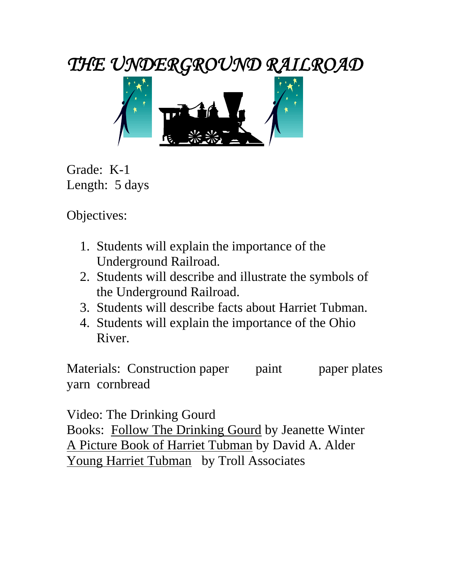*THE UNDERGROUND RAILROAD* 



Grade: K-1 Length: 5 days

Objectives:

- 1. Students will explain the importance of the Underground Railroad.
- 2. Students will describe and illustrate the symbols of the Underground Railroad.
- 3. Students will describe facts about Harriet Tubman.
- 4. Students will explain the importance of the Ohio River.

Materials: Construction paper paint paper plates yarn cornbread

Video: The Drinking Gourd

Books: Follow The Drinking Gourd by Jeanette Winter A Picture Book of Harriet Tubman by David A. Alder Young Harriet Tubman by Troll Associates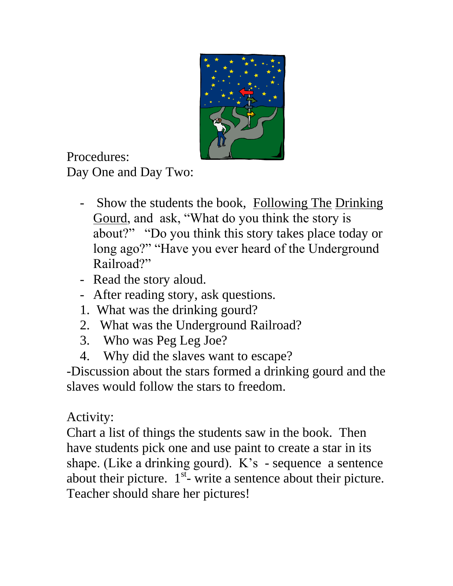

Procedures:

Day One and Day Two:

- Show the students the book, Following The Drinking Gourd, and ask, "What do you think the story is about?" "Do you think this story takes place today or long ago?" "Have you ever heard of the Underground Railroad?"
- Read the story aloud.
- After reading story, ask questions.
- 1. What was the drinking gourd?
- 2. What was the Underground Railroad?
- 3. Who was Peg Leg Joe?
- 4. Why did the slaves want to escape?

-Discussion about the stars formed a drinking gourd and the slaves would follow the stars to freedom.

## Activity:

Chart a list of things the students saw in the book. Then have students pick one and use paint to create a star in its shape. (Like a drinking gourd). K's - sequence a sentence about their picture.  $1^{st}$ - write a sentence about their picture. Teacher should share her pictures!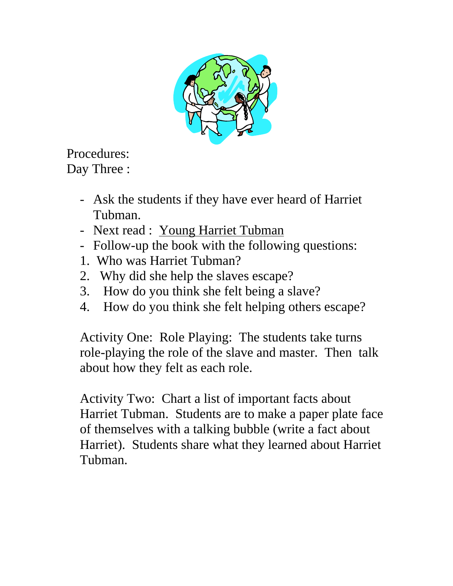

Procedures: Day Three :

- Ask the students if they have ever heard of Harriet Tubman.
- Next read : Young Harriet Tubman
- Follow-up the book with the following questions:
- 1. Who was Harriet Tubman?
- 2. Why did she help the slaves escape?
- 3. How do you think she felt being a slave?
- 4. How do you think she felt helping others escape?

Activity One: Role Playing: The students take turns role-playing the role of the slave and master. Then talk about how they felt as each role.

Activity Two: Chart a list of important facts about Harriet Tubman. Students are to make a paper plate face of themselves with a talking bubble (write a fact about Harriet). Students share what they learned about Harriet Tubman.